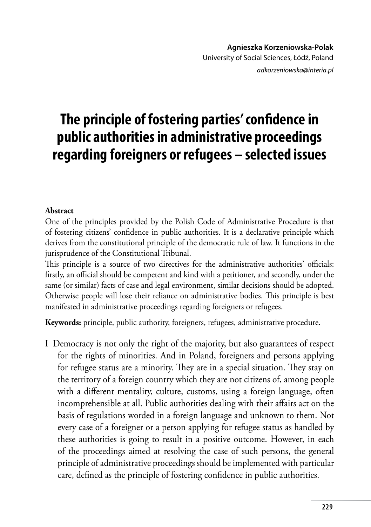*adkorzeniowska@interia.pl*

## **The principle of fostering parties' confidence in public authorities in administrative proceedings regarding foreigners or refugees – selected issues**

## **Abstract**

One of the principles provided by the Polish Code of Administrative Procedure is that of fostering citizens' confidence in public authorities. It is a declarative principle which derives from the constitutional principle of the democratic rule of law. It functions in the jurisprudence of the Constitutional Tribunal.

This principle is a source of two directives for the administrative authorities' officials: firstly, an official should be competent and kind with a petitioner, and secondly, under the same (or similar) facts of case and legal environment, similar decisions should be adopted. Otherwise people will lose their reliance on administrative bodies. This principle is best manifested in administrative proceedings regarding foreigners or refugees.

**Keywords:** principle, public authority, foreigners, refugees, administrative procedure.

I Democracy is not only the right of the majority, but also guarantees of respect for the rights of minorities. And in Poland, foreigners and persons applying for refugee status are a minority. They are in a special situation. They stay on the territory of a foreign country which they are not citizens of, among people with a different mentality, culture, customs, using a foreign language, often incomprehensible at all. Public authorities dealing with their affairs act on the basis of regulations worded in a foreign language and unknown to them. Not every case of a foreigner or a person applying for refugee status as handled by these authorities is going to result in a positive outcome. However, in each of the proceedings aimed at resolving the case of such persons, the general principle of administrative proceedings should be implemented with particular care, defined as the principle of fostering confidence in public authorities.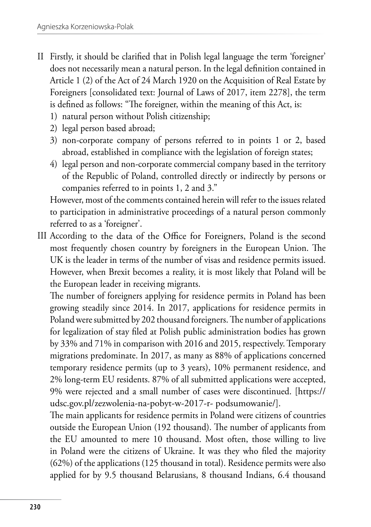- II Firstly, it should be clarified that in Polish legal language the term 'foreigner' does not necessarily mean a natural person. In the legal definition contained in Article 1 (2) of the Act of 24 March 1920 on the Acquisition of Real Estate by Foreigners [consolidated text: Journal of Laws of 2017, item 2278], the term is defined as follows: "The foreigner, within the meaning of this Act, is:
	- 1) natural person without Polish citizenship;
	- 2) legal person based abroad;
	- 3) non-corporate company of persons referred to in points 1 or 2, based abroad, established in compliance with the legislation of foreign states;
	- 4) legal person and non-corporate commercial company based in the territory of the Republic of Poland, controlled directly or indirectly by persons or companies referred to in points 1, 2 and 3."

However, most of the comments contained herein will refer to the issues related to participation in administrative proceedings of a natural person commonly referred to as a 'foreigner'.

III According to the data of the Office for Foreigners, Poland is the second most frequently chosen country by foreigners in the European Union. The UK is the leader in terms of the number of visas and residence permits issued. However, when Brexit becomes a reality, it is most likely that Poland will be the European leader in receiving migrants.

The number of foreigners applying for residence permits in Poland has been growing steadily since 2014. In 2017, applications for residence permits in Poland were submitted by 202 thousand foreigners. The number of applications for legalization of stay filed at Polish public administration bodies has grown by 33% and 71% in comparison with 2016 and 2015, respectively. Temporary migrations predominate. In 2017, as many as 88% of applications concerned temporary residence permits (up to 3 years), 10% permanent residence, and 2% long-term EU residents. 87% of all submitted applications were accepted, 9% were rejected and a small number of cases were discontinued. [https:// udsc.gov.pl/zezwolenia-na-pobyt-w-2017-r- podsumowanie/].

The main applicants for residence permits in Poland were citizens of countries outside the European Union (192 thousand). The number of applicants from the EU amounted to mere 10 thousand. Most often, those willing to live in Poland were the citizens of Ukraine. It was they who filed the majority (62%) of the applications (125 thousand in total). Residence permits were also applied for by 9.5 thousand Belarusians, 8 thousand Indians, 6.4 thousand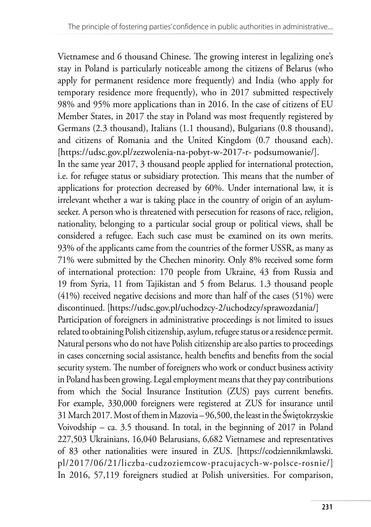Vietnamese and 6 thousand Chinese. The growing interest in legalizing one's stay in Poland is particularly noticeable among the citizens of Belarus (who apply for permanent residence more frequently) and India (who apply for temporary residence more frequently), who in 2017 submitted respectively 98% and 95% more applications than in 2016. In the case of citizens of EU Member States, in 2017 the stay in Poland was most frequently registered by Germans (2.3 thousand), Italians (1.1 thousand), Bulgarians (0.8 thousand), and citizens of Romania and the United Kingdom (0.7 thousand each). [https://udsc.gov.pl/zezwolenia-na-pobyt-w-2017-r- podsumowanie/].

In the same year 2017, 3 thousand people applied for international protection, i.e. for refugee status or subsidiary protection. This means that the number of applications for protection decreased by 60%. Under international law, it is irrelevant whether a war is taking place in the country of origin of an asylumseeker. A person who is threatened with persecution for reasons of race, religion, nationality, belonging to a particular social group or political views, shall be considered a refugee. Each such case must be examined on its own merits. 93% of the applicants came from the countries of the former USSR, as many as 71% were submitted by the Chechen minority. Only 8% received some form of international protection: 170 people from Ukraine, 43 from Russia and 19 from Syria, 11 from Tajikistan and 5 from Belarus. 1.3 thousand people (41%) received negative decisions and more than half of the cases (51%) were discontinued. [https://udsc.gov.pl/uchodzcy-2/uchodzcy/sprawozdania/]

Participation of foreigners in administrative proceedings is not limited to issues related to obtaining Polish citizenship, asylum, refugee status or a residence permit. Natural persons who do not have Polish citizenship are also parties to proceedings in cases concerning social assistance, health benefits and benefits from the social security system. The number of foreigners who work or conduct business activity in Poland has been growing. Legal employment means that they pay contributions from which the Social Insurance Institution (ZUS) pays current benefits. For example, 330,000 foreigners were registered at ZUS for insurance until 31 March 2017. Most of them in Mazovia – 96,500, the least in the Świętokrzyskie Voivodship – ca. 3.5 thousand. In total, in the beginning of 2017 in Poland 227,503 Ukrainians, 16,040 Belarusians, 6,682 Vietnamese and representatives of 83 other nationalities were insured in ZUS. [https://codziennikmlawski. pl/2017/06/21/liczba-cudzoziemcow-pracujacych-w-polsce-rosnie/] In 2016, 57,119 foreigners studied at Polish universities. For comparison,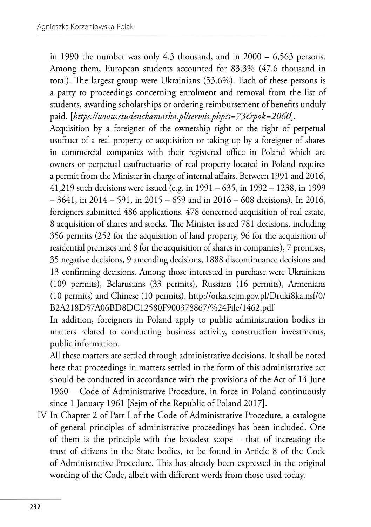in 1990 the number was only 4.3 thousand, and in 2000 – 6,563 persons. Among them, European students accounted for 83.3% (47.6 thousand in total). The largest group were Ukrainians (53.6%). Each of these persons is a party to proceedings concerning enrolment and removal from the list of students, awarding scholarships or ordering reimbursement of benefits unduly paid. [*https://www.studenckamarka.pl/serwis.php?s=73&pok=2060*].

Acquisition by a foreigner of the ownership right or the right of perpetual usufruct of a real property or acquisition or taking up by a foreigner of shares in commercial companies with their registered office in Poland which are owners or perpetual usufructuaries of real property located in Poland requires a permit from the Minister in charge of internal affairs. Between 1991 and 2016, 41,219 such decisions were issued (e.g. in 1991 – 635, in 1992 – 1238, in 1999  $-3641$ , in  $2014 - 591$ , in  $2015 - 659$  and in  $2016 - 608$  decisions). In 2016, foreigners submitted 486 applications. 478 concerned acquisition of real estate, 8 acquisition of shares and stocks. The Minister issued 781 decisions, including 356 permits (252 for the acquisition of land property, 96 for the acquisition of residential premises and 8 for the acquisition of shares in companies), 7 promises, 35 negative decisions, 9 amending decisions, 1888 discontinuance decisions and 13 confirming decisions. Among those interested in purchase were Ukrainians (109 permits), Belarusians (33 permits), Russians (16 permits), Armenians (10 permits) and Chinese (10 permits). http://orka.sejm.gov.pl/Druki8ka.nsf/0/ B2A218D57A06BD8DC12580F900378867/%24File/1462.pdf

In addition, foreigners in Poland apply to public administration bodies in matters related to conducting business activity, construction investments, public information.

All these matters are settled through administrative decisions. It shall be noted here that proceedings in matters settled in the form of this administrative act should be conducted in accordance with the provisions of the Act of 14 June 1960 – Code of Administrative Procedure, in force in Poland continuously since 1 January 1961 [Sejm of the Republic of Poland 2017].

IV In Chapter 2 of Part I of the Code of Administrative Procedure, a catalogue of general principles of administrative proceedings has been included. One of them is the principle with the broadest scope – that of increasing the trust of citizens in the State bodies, to be found in Article 8 of the Code of Administrative Procedure. This has already been expressed in the original wording of the Code, albeit with different words from those used today.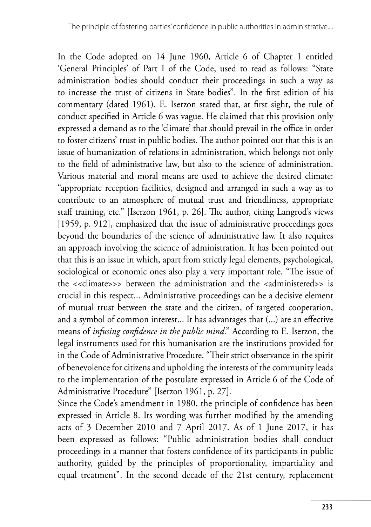In the Code adopted on 14 June 1960, Article 6 of Chapter 1 entitled 'General Principles' of Part I of the Code, used to read as follows: "State administration bodies should conduct their proceedings in such a way as to increase the trust of citizens in State bodies". In the first edition of his commentary (dated 1961), E. Iserzon stated that, at first sight, the rule of conduct specified in Article 6 was vague. He claimed that this provision only expressed a demand as to the 'climate' that should prevail in the office in order to foster citizens' trust in public bodies. The author pointed out that this is an issue of humanization of relations in administration, which belongs not only to the field of administrative law, but also to the science of administration. Various material and moral means are used to achieve the desired climate: "appropriate reception facilities, designed and arranged in such a way as to contribute to an atmosphere of mutual trust and friendliness, appropriate staff training, etc." [Iserzon 1961, p. 26]. The author, citing Langrod's views [1959, p. 912], emphasized that the issue of administrative proceedings goes beyond the boundaries of the science of administrative law. It also requires an approach involving the science of administration. It has been pointed out that this is an issue in which, apart from strictly legal elements, psychological, sociological or economic ones also play a very important role. "The issue of the <<climate>>> between the administration and the <administered>> is crucial in this respect... Administrative proceedings can be a decisive element of mutual trust between the state and the citizen, of targeted cooperation, and a symbol of common interest... It has advantages that (...) are an effective means of *infusing confidence in the public mind*." According to E. Iserzon, the legal instruments used for this humanisation are the institutions provided for in the Code of Administrative Procedure. "Their strict observance in the spirit of benevolence for citizens and upholding the interests of the community leads to the implementation of the postulate expressed in Article 6 of the Code of Administrative Procedure" [Iserzon 1961, p. 27].

Since the Code's amendment in 1980, the principle of confidence has been expressed in Article 8. Its wording was further modified by the amending acts of 3 December 2010 and 7 April 2017. As of 1 June 2017, it has been expressed as follows: "Public administration bodies shall conduct proceedings in a manner that fosters confidence of its participants in public authority, guided by the principles of proportionality, impartiality and equal treatment". In the second decade of the 21st century, replacement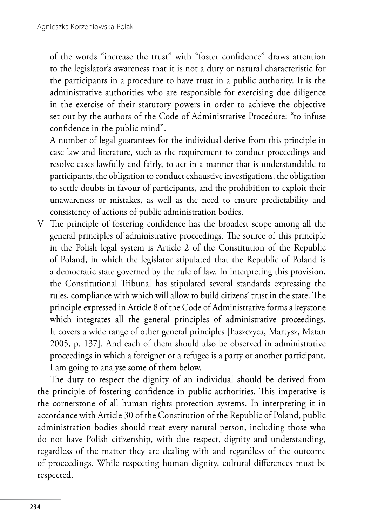of the words "increase the trust" with "foster confidence" draws attention to the legislator's awareness that it is not a duty or natural characteristic for the participants in a procedure to have trust in a public authority. It is the administrative authorities who are responsible for exercising due diligence in the exercise of their statutory powers in order to achieve the objective set out by the authors of the Code of Administrative Procedure: "to infuse confidence in the public mind".

A number of legal guarantees for the individual derive from this principle in case law and literature, such as the requirement to conduct proceedings and resolve cases lawfully and fairly, to act in a manner that is understandable to participants, the obligation to conduct exhaustive investigations, the obligation to settle doubts in favour of participants, and the prohibition to exploit their unawareness or mistakes, as well as the need to ensure predictability and consistency of actions of public administration bodies.

V The principle of fostering confidence has the broadest scope among all the general principles of administrative proceedings. The source of this principle in the Polish legal system is Article 2 of the Constitution of the Republic of Poland, in which the legislator stipulated that the Republic of Poland is a democratic state governed by the rule of law. In interpreting this provision, the Constitutional Tribunal has stipulated several standards expressing the rules, compliance with which will allow to build citizens' trust in the state. The principle expressed in Article 8 of the Code of Administrative forms a keystone which integrates all the general principles of administrative proceedings. It covers a wide range of other general principles [Łaszczyca, Martysz, Matan 2005, p. 137]. And each of them should also be observed in administrative proceedings in which a foreigner or a refugee is a party or another participant. I am going to analyse some of them below.

The duty to respect the dignity of an individual should be derived from the principle of fostering confidence in public authorities. This imperative is the cornerstone of all human rights protection systems. In interpreting it in accordance with Article 30 of the Constitution of the Republic of Poland, public administration bodies should treat every natural person, including those who do not have Polish citizenship, with due respect, dignity and understanding, regardless of the matter they are dealing with and regardless of the outcome of proceedings. While respecting human dignity, cultural differences must be respected.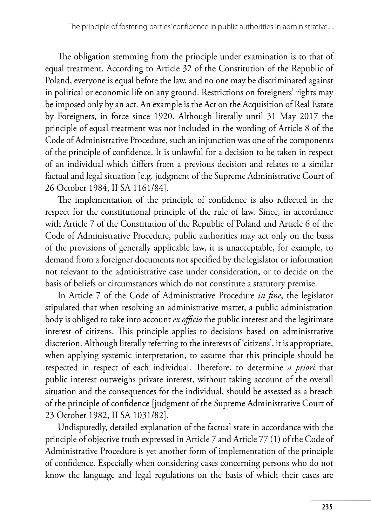The obligation stemming from the principle under examination is to that of equal treatment. According to Article 32 of the Constitution of the Republic of Poland, everyone is equal before the law, and no one may be discriminated against in political or economic life on any ground. Restrictions on foreigners' rights may be imposed only by an act. An example is the Act on the Acquisition of Real Estate by Foreigners, in force since 1920. Although literally until 31 May 2017 the principle of equal treatment was not included in the wording of Article 8 of the Code of Administrative Procedure, such an injunction was one of the components of the principle of confidence. It is unlawful for a decision to be taken in respect of an individual which differs from a previous decision and relates to a similar factual and legal situation [e.g. judgment of the Supreme Administrative Court of 26 October 1984, II SA 1161/84].

The implementation of the principle of confidence is also reflected in the respect for the constitutional principle of the rule of law. Since, in accordance with Article 7 of the Constitution of the Republic of Poland and Article 6 of the Code of Administrative Procedure, public authorities may act only on the basis of the provisions of generally applicable law, it is unacceptable, for example, to demand from a foreigner documents not specified by the legislator or information not relevant to the administrative case under consideration, or to decide on the basis of beliefs or circumstances which do not constitute a statutory premise.

In Article 7 of the Code of Administrative Procedure *in fine*, the legislator stipulated that when resolving an administrative matter, a public administration body is obliged to take into account *ex officio* the public interest and the legitimate interest of citizens. This principle applies to decisions based on administrative discretion. Although literally referring to the interests of 'citizens', it is appropriate, when applying systemic interpretation, to assume that this principle should be respected in respect of each individual. Therefore, to determine *a priori* that public interest outweighs private interest, without taking account of the overall situation and the consequences for the individual, should be assessed as a breach of the principle of confidence [judgment of the Supreme Administrative Court of 23 October 1982, II SA 1031/82].

Undisputedly, detailed explanation of the factual state in accordance with the principle of objective truth expressed in Article 7 and Article 77 (1) of the Code of Administrative Procedure is yet another form of implementation of the principle of confidence. Especially when considering cases concerning persons who do not know the language and legal regulations on the basis of which their cases are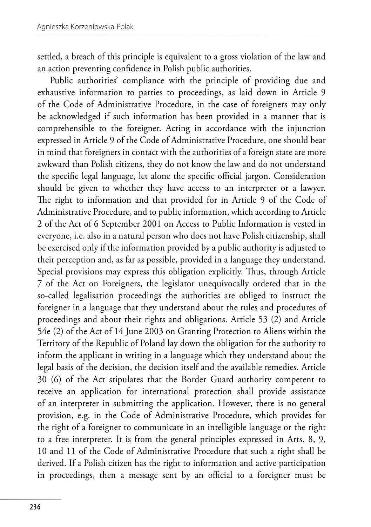settled, a breach of this principle is equivalent to a gross violation of the law and an action preventing confidence in Polish public authorities.

Public authorities' compliance with the principle of providing due and exhaustive information to parties to proceedings, as laid down in Article 9 of the Code of Administrative Procedure, in the case of foreigners may only be acknowledged if such information has been provided in a manner that is comprehensible to the foreigner. Acting in accordance with the injunction expressed in Article 9 of the Code of Administrative Procedure, one should bear in mind that foreigners in contact with the authorities of a foreign state are more awkward than Polish citizens, they do not know the law and do not understand the specific legal language, let alone the specific official jargon. Consideration should be given to whether they have access to an interpreter or a lawyer. The right to information and that provided for in Article 9 of the Code of Administrative Procedure, and to public information, which according to Article 2 of the Act of 6 September 2001 on Access to Public Information is vested in everyone, i.e. also in a natural person who does not have Polish citizenship, shall be exercised only if the information provided by a public authority is adjusted to their perception and, as far as possible, provided in a language they understand. Special provisions may express this obligation explicitly. Thus, through Article 7 of the Act on Foreigners, the legislator unequivocally ordered that in the so-called legalisation proceedings the authorities are obliged to instruct the foreigner in a language that they understand about the rules and procedures of proceedings and about their rights and obligations. Article 53 (2) and Article 54e (2) of the Act of 14 June 2003 on Granting Protection to Aliens within the Territory of the Republic of Poland lay down the obligation for the authority to inform the applicant in writing in a language which they understand about the legal basis of the decision, the decision itself and the available remedies. Article 30 (6) of the Act stipulates that the Border Guard authority competent to receive an application for international protection shall provide assistance of an interpreter in submitting the application. However, there is no general provision, e.g. in the Code of Administrative Procedure, which provides for the right of a foreigner to communicate in an intelligible language or the right to a free interpreter. It is from the general principles expressed in Arts. 8, 9, 10 and 11 of the Code of Administrative Procedure that such a right shall be derived. If a Polish citizen has the right to information and active participation in proceedings, then a message sent by an official to a foreigner must be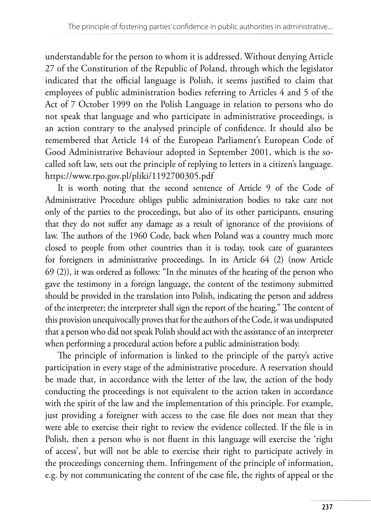understandable for the person to whom it is addressed. Without denying Article 27 of the Constitution of the Republic of Poland, through which the legislator indicated that the official language is Polish, it seems justified to claim that employees of public administration bodies referring to Articles 4 and 5 of the Act of 7 October 1999 on the Polish Language in relation to persons who do not speak that language and who participate in administrative proceedings, is an action contrary to the analysed principle of confidence. It should also be remembered that Article 14 of the European Parliament's European Code of Good Administrative Behaviour adopted in September 2001, which is the socalled soft law, sets out the principle of replying to letters in a citizen's language. https://www.rpo.gov.pl/pliki/1192700305.pdf

It is worth noting that the second sentence of Article 9 of the Code of Administrative Procedure obliges public administration bodies to take care not only of the parties to the proceedings, but also of its other participants, ensuring that they do not suffer any damage as a result of ignorance of the provisions of law. The authors of the 1960 Code, back when Poland was a country much more closed to people from other countries than it is today, took care of guarantees for foreigners in administrative proceedings. In its Article 64 (2) (now Article 69 (2)), it was ordered as follows: "In the minutes of the hearing of the person who gave the testimony in a foreign language, the content of the testimony submitted should be provided in the translation into Polish, indicating the person and address of the interpreter; the interpreter shall sign the report of the hearing." The content of this provision unequivocally proves that for the authors of the Code, it was undisputed that a person who did not speak Polish should act with the assistance of an interpreter when performing a procedural action before a public administration body.

The principle of information is linked to the principle of the party's active participation in every stage of the administrative procedure. A reservation should be made that, in accordance with the letter of the law, the action of the body conducting the proceedings is not equivalent to the action taken in accordance with the spirit of the law and the implementation of this principle. For example, just providing a foreigner with access to the case file does not mean that they were able to exercise their right to review the evidence collected. If the file is in Polish, then a person who is not fluent in this language will exercise the 'right of access', but will not be able to exercise their right to participate actively in the proceedings concerning them. Infringement of the principle of information, e.g. by not communicating the content of the case file, the rights of appeal or the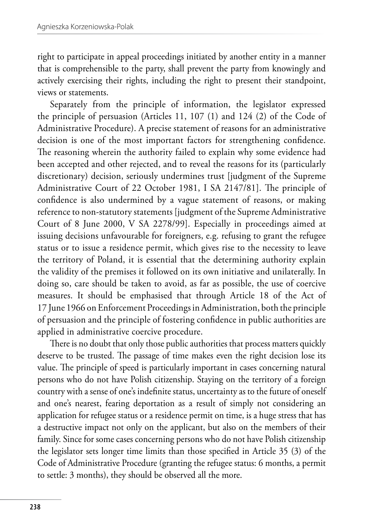right to participate in appeal proceedings initiated by another entity in a manner that is comprehensible to the party, shall prevent the party from knowingly and actively exercising their rights, including the right to present their standpoint, views or statements.

Separately from the principle of information, the legislator expressed the principle of persuasion (Articles 11, 107 (1) and 124 (2) of the Code of Administrative Procedure). A precise statement of reasons for an administrative decision is one of the most important factors for strengthening confidence. The reasoning wherein the authority failed to explain why some evidence had been accepted and other rejected, and to reveal the reasons for its (particularly discretionary) decision, seriously undermines trust [judgment of the Supreme Administrative Court of 22 October 1981, I SA 2147/81]. The principle of confidence is also undermined by a vague statement of reasons, or making reference to non-statutory statements [judgment of the Supreme Administrative Court of 8 June 2000, V SA 2278/99]. Especially in proceedings aimed at issuing decisions unfavourable for foreigners, e.g. refusing to grant the refugee status or to issue a residence permit, which gives rise to the necessity to leave the territory of Poland, it is essential that the determining authority explain the validity of the premises it followed on its own initiative and unilaterally. In doing so, care should be taken to avoid, as far as possible, the use of coercive measures. It should be emphasised that through Article 18 of the Act of 17 June 1966 on Enforcement Proceedings in Administration, both the principle of persuasion and the principle of fostering confidence in public authorities are applied in administrative coercive procedure.

There is no doubt that only those public authorities that process matters quickly deserve to be trusted. The passage of time makes even the right decision lose its value. The principle of speed is particularly important in cases concerning natural persons who do not have Polish citizenship. Staying on the territory of a foreign country with a sense of one's indefinite status, uncertainty as to the future of oneself and one's nearest, fearing deportation as a result of simply not considering an application for refugee status or a residence permit on time, is a huge stress that has a destructive impact not only on the applicant, but also on the members of their family. Since for some cases concerning persons who do not have Polish citizenship the legislator sets longer time limits than those specified in Article 35 (3) of the Code of Administrative Procedure (granting the refugee status: 6 months, a permit to settle: 3 months), they should be observed all the more.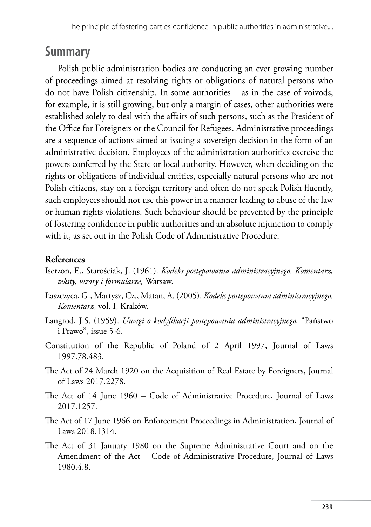## **Summary**

Polish public administration bodies are conducting an ever growing number of proceedings aimed at resolving rights or obligations of natural persons who do not have Polish citizenship. In some authorities – as in the case of voivods, for example, it is still growing, but only a margin of cases, other authorities were established solely to deal with the affairs of such persons, such as the President of the Office for Foreigners or the Council for Refugees. Administrative proceedings are a sequence of actions aimed at issuing a sovereign decision in the form of an administrative decision. Employees of the administration authorities exercise the powers conferred by the State or local authority. However, when deciding on the rights or obligations of individual entities, especially natural persons who are not Polish citizens, stay on a foreign territory and often do not speak Polish fluently, such employees should not use this power in a manner leading to abuse of the law or human rights violations. Such behaviour should be prevented by the principle of fostering confidence in public authorities and an absolute injunction to comply with it, as set out in the Polish Code of Administrative Procedure.

## **References**

- Iserzon, E., Starościak, J. (1961). *Kodeks postępowania administracyjnego. Komentarz, teksty, wzory i formularze,* Warsaw.
- Łaszczyca, G., Martysz, Cz., Matan, A. (2005). *Kodeks postępowania administracyjnego. Komentarz*, vol. I, Kraków.
- Langrod, J.S. (1959). *Uwagi o kodyfikacji postępowania administracyjnego,* "Państwo i Prawo", issue 5-6.
- Constitution of the Republic of Poland of 2 April 1997, Journal of Laws 1997.78.483.
- The Act of 24 March 1920 on the Acquisition of Real Estate by Foreigners, Journal of Laws 2017.2278.
- The Act of 14 June 1960 Code of Administrative Procedure, Journal of Laws 2017.1257.
- The Act of 17 June 1966 on Enforcement Proceedings in Administration, Journal of Laws 2018.1314.
- The Act of 31 January 1980 on the Supreme Administrative Court and on the Amendment of the Act – Code of Administrative Procedure, Journal of Laws 1980.4.8.